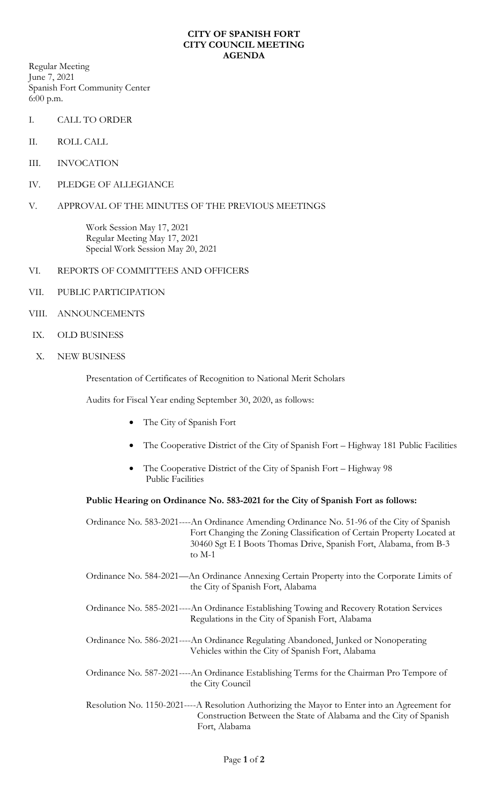## **CITY OF SPANISH FORT CITY COUNCIL MEETING AGENDA**

Regular Meeting June 7, 2021 Spanish Fort Community Center 6:00 p.m.

- I. CALL TO ORDER
- II. ROLL CALL
- III. INVOCATION
- IV. PLEDGE OF ALLEGIANCE
- V. APPROVAL OF THE MINUTES OF THE PREVIOUS MEETINGS

Work Session May 17, 2021 Regular Meeting May 17, 2021 Special Work Session May 20, 2021

- VI. REPORTS OF COMMITTEES AND OFFICERS
- VII. PUBLIC PARTICIPATION
- VIII. ANNOUNCEMENTS
- IX. OLD BUSINESS
- X. NEW BUSINESS

Presentation of Certificates of Recognition to National Merit Scholars

Audits for Fiscal Year ending September 30, 2020, as follows:

- The City of Spanish Fort
- The Cooperative District of the City of Spanish Fort Highway 181 Public Facilities
- The Cooperative District of the City of Spanish Fort Highway 98 Public Facilities

## **Public Hearing on Ordinance No. 583-2021 for the City of Spanish Fort as follows:**

Ordinance No. 583-2021----An Ordinance Amending Ordinance No. 51-96 of the City of Spanish Fort Changing the Zoning Classification of Certain Property Located at 30460 Sgt E I Boots Thomas Drive, Spanish Fort, Alabama, from B-3 to M-1

- Ordinance No. 584-2021—An Ordinance Annexing Certain Property into the Corporate Limits of the City of Spanish Fort, Alabama
- Ordinance No. 585-2021----An Ordinance Establishing Towing and Recovery Rotation Services Regulations in the City of Spanish Fort, Alabama
- Ordinance No. 586-2021----An Ordinance Regulating Abandoned, Junked or Nonoperating Vehicles within the City of Spanish Fort, Alabama
- Ordinance No. 587-2021----An Ordinance Establishing Terms for the Chairman Pro Tempore of the City Council
- Resolution No. 1150-2021----A Resolution Authorizing the Mayor to Enter into an Agreement for Construction Between the State of Alabama and the City of Spanish Fort, Alabama